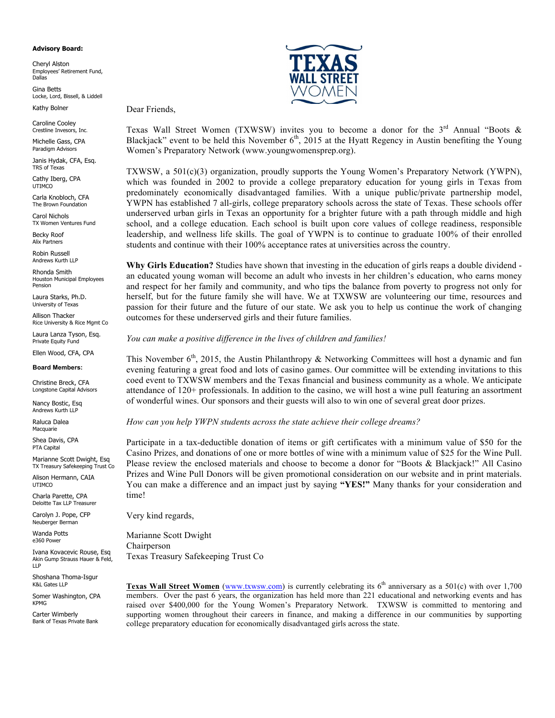#### **Advisory Board:**

Cheryl Alston Employees' Retirement Fund, Dallas

Gina Betts Locke, Lord, Bissell, & Liddell

Dear Friends,

Kathy Bolner

Caroline Cooley Crestline Invesors, Inc.

Michelle Gass, CPA Paradigm Advisors

Janis Hydak, CFA, Esq. TRS of Texas

Cathy Iberg, CPA UTIMCO

Carla Knobloch, CFA The Brown Foundation

Carol Nichols TX Women Ventures Fund

Becky Roof Alix Partners

Robin Russell Andrews Kurth LLP

Rhonda Smith Houston Municipal Employees Pension

Laura Starks, Ph.D. University of Texas

Allison Thacker Rice University & Rice Mgmt Co

Laura Lanza Tyson, Esq. Private Equity Fund

Ellen Wood, CFA, CPA

### **Board Members:**

Christine Breck, CFA Longstone Capital Advisors

Nancy Bostic, Esq Andrews Kurth LLP

Raluca Dalea **Macquarie** 

Shea Davis, CPA PTA Capital

Marianne Scott Dwight, Esq TX Treasury Safekeeping Trust Co

Alison Hermann, CAIA UTIMCO

Charla Parette, CPA Deloitte Tax LLP Treasurer

Carolyn J. Pope, CFP Neuberger Berman

Wanda Potts e360 Power

Ivana Kovacevic Rouse, Esq Akin Gump Strauss Hauer & Feld, LLP

Shoshana Thoma-Isgur K&L Gates LLP

Somer Washington, CPA KPMG

Carter Wimberly Bank of Texas Private Bank



Texas Wall Street Women (TXWSW) invites you to become a donor for the  $3<sup>rd</sup>$  Annual "Boots & Blackjack" event to be held this November  $6<sup>th</sup>$ , 2015 at the Hyatt Regency in Austin benefiting the Young Women's Preparatory Network (www.youngwomensprep.org).

TXWSW, a 501(c)(3) organization, proudly supports the Young Women's Preparatory Network (YWPN), which was founded in 2002 to provide a college preparatory education for young girls in Texas from predominately economically disadvantaged families. With a unique public/private partnership model, YWPN has established 7 all-girls, college preparatory schools across the state of Texas. These schools offer underserved urban girls in Texas an opportunity for a brighter future with a path through middle and high school, and a college education. Each school is built upon core values of college readiness, responsible leadership, and wellness life skills. The goal of YWPN is to continue to graduate 100% of their enrolled students and continue with their 100% acceptance rates at universities across the country.

**Why Girls Education?** Studies have shown that investing in the education of girls reaps a double dividend an educated young woman will become an adult who invests in her children's education, who earns money and respect for her family and community, and who tips the balance from poverty to progress not only for herself, but for the future family she will have. We at TXWSW are volunteering our time, resources and passion for their future and the future of our state. We ask you to help us continue the work of changing outcomes for these underserved girls and their future families.

### *You can make a positive difference in the lives of children and families!*

This November  $6<sup>th</sup>$ , 2015, the Austin Philanthropy & Networking Committees will host a dynamic and fun evening featuring a great food and lots of casino games. Our committee will be extending invitations to this coed event to TXWSW members and the Texas financial and business community as a whole. We anticipate attendance of 120+ professionals. In addition to the casino, we will host a wine pull featuring an assortment of wonderful wines. Our sponsors and their guests will also to win one of several great door prizes.

### *How can you help YWPN students across the state achieve their college dreams?*

Participate in a tax-deductible donation of items or gift certificates with a minimum value of \$50 for the Casino Prizes, and donations of one or more bottles of wine with a minimum value of \$25 for the Wine Pull. Please review the enclosed materials and choose to become a donor for "Boots & Blackjack!" All Casino Prizes and Wine Pull Donors will be given promotional consideration on our website and in print materials. You can make a difference and an impact just by saying **"YES!"** Many thanks for your consideration and time!

Very kind regards,

Marianne Scott Dwight Chairperson Texas Treasury Safekeeping Trust Co

**Texas Wall Street Women** (www.txwsw.com) is currently celebrating its  $6<sup>th</sup>$  anniversary as a 501(c) with over 1,700 members. Over the past 6 years, the organization has held more than 221 educational and networking events and has raised over \$400,000 for the Young Women's Preparatory Network. TXWSW is committed to mentoring and supporting women throughout their careers in finance, and making a difference in our communities by supporting college preparatory education for economically disadvantaged girls across the state.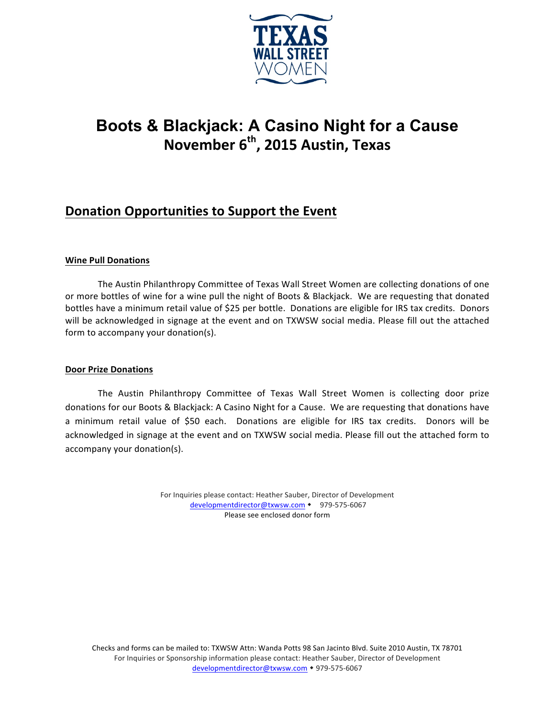

# **Boots & Blackjack: A Casino Night for a Cause November 6<sup>th</sup>, 2015 Austin, Texas**

# **Donation Opportunities to Support the Event**

## **Wine Pull Donations**

The Austin Philanthropy Committee of Texas Wall Street Women are collecting donations of one or more bottles of wine for a wine pull the night of Boots & Blackjack. We are requesting that donated bottles have a minimum retail value of \$25 per bottle. Donations are eligible for IRS tax credits. Donors will be acknowledged in signage at the event and on TXWSW social media. Please fill out the attached form to accompany your donation(s).

### **Door Prize Donations**

The Austin Philanthropy Committee of Texas Wall Street Women is collecting door prize donations for our Boots & Blackjack: A Casino Night for a Cause. We are requesting that donations have a minimum retail value of \$50 each. Donations are eligible for IRS tax credits. Donors will be acknowledged in signage at the event and on TXWSW social media. Please fill out the attached form to accompany your donation(s).

> For Inquiries please contact: Heather Sauber, Director of Development developmentdirector@txwsw.com • 979-575-6067 Please see enclosed donor form